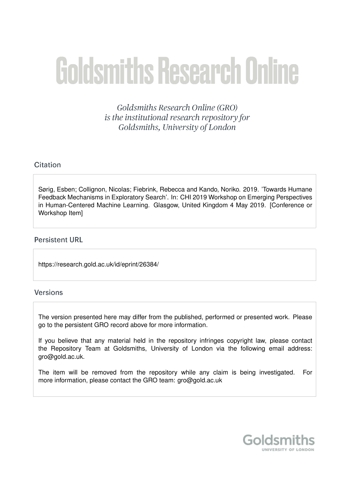# **Goldsmiths Research Online**

Goldsmiths Research Online (GRO) is the institutional research repository for Goldsmiths, University of London

### Citation

Sørig, Esben; Collignon, Nicolas; Fiebrink, Rebecca and Kando, Noriko. 2019. 'Towards Humane Feedback Mechanisms in Exploratory Search'. In: CHI 2019 Workshop on Emerging Perspectives in Human-Centered Machine Learning. Glasgow, United Kingdom 4 May 2019. [Conference or Workshop Item]

#### **Persistent URL**

https://research.gold.ac.uk/id/eprint/26384/

#### Versions

The version presented here may differ from the published, performed or presented work. Please go to the persistent GRO record above for more information.

If you believe that any material held in the repository infringes copyright law, please contact the Repository Team at Goldsmiths, University of London via the following email address: gro@gold.ac.uk.

The item will be removed from the repository while any claim is being investigated. For more information, please contact the GRO team: gro@gold.ac.uk

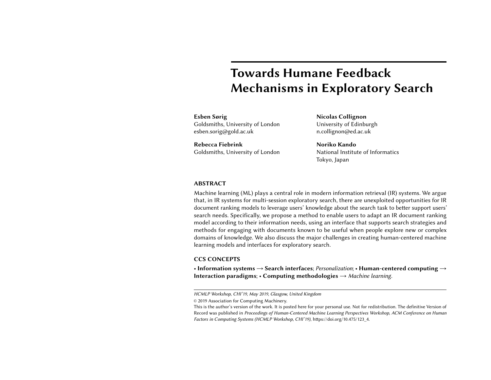## Towards Humane Feedback Mechanisms in Exploratory Search

#### Esben Sørig Goldsmiths, University of London esben.sorig@gold.ac.uk

Rebecca Fiebrink Goldsmiths, University of London

Nicolas Collignon University of Edinburgh n.collignon@ed.ac.uk

Noriko Kando National Institute of Informatics Tokyo, Japan

#### ABSTRACT

Machine learning (ML) plays a central role in modern information retrieval (IR) systems. We argue that, in IR systems for multi-session exploratory search, there are unexploited opportunities for IR document ranking models to leverage users' knowledge about the search task to better support users' search needs. Specifically, we propose a method to enable users to adapt an IR document ranking model according to their information needs, using an interface that supports search strategies and methods for engaging with documents known to be useful when people explore new or complex domains of knowledge. We also discuss the major challenges in creating human-centered machine learning models and interfaces for exploratory search.

#### CCS CONCEPTS

• Information systems  $\rightarrow$  Search interfaces; Personalization; • Human-centered computing  $\rightarrow$ Interaction paradigms; • Computing methodologies  $\rightarrow$  Machine learning.

HCMLP Workshop, CHI'19, May 2019, Glasgow, United Kingdom

<sup>©</sup> 2019 Association for Computing Machinery.

This is the author's version of the work. It is posted here for your personal use. Not for redistribution. The definitive Version of Record was published in Proceedings of Human-Centered Machine Learning Perspectives Workshop, ACM Conference on Human Factors in Computing Systems (HCMLP Workshop, CHI'19), https://doi.org/10.475/123\_4.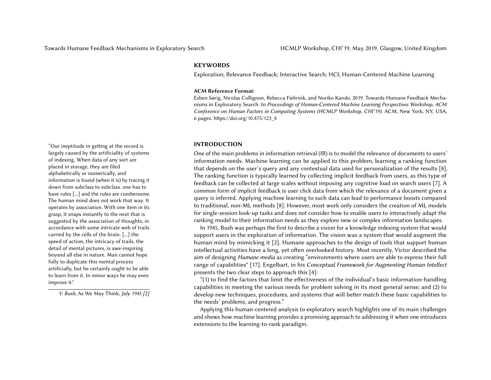#### **KEYWORDS**

Exploration; Relevance Feedback; Interactive Search; HCI; Human-Centered Machine Learning

#### ACM Reference Format:

Esben Sørig, Nicolas Collignon, Rebecca Fiebrink, and Noriko Kando. 2019. Towards Humane Feedback Mechanisms in Exploratory Search. In Proceedings of Human-Centered Machine Learning Perspectives Workshop, ACM Conference on Human Factors in Computing Systems (HCMLP Workshop, CHI'19). ACM, New York, NY, USA, [6](#page-6-0) pages. https://doi.org/10.475/123\_4

#### INTRODUCTION

One of the main problems in information retrieval (IR) is to model the relevance of documents to users' information needs. Machine learning can be applied to this problem, learning a ranking function that depends on the user's query and any contextual data used for personalization of the results [\[8\]](#page-6-2). The ranking function is typically learned by collecting implicit feedback from users, as this type of feedback can be collected at large scales without imposing any cognitive load on search users [\[7\]](#page-6-3). A common form of implicit feedback is user click data from which the relevance of a document given a query is inferred. Applying machine learning to such data can lead to performance boosts compared to traditional, non-ML methods [\[8\]](#page-6-2). However, most work only considers the creation of ML models for single-session look-up tasks and does not consider how to enable users to interactively adapt the ranking model to their information needs as they explore new or complex information landscapes.

In 1945, [Bush](#page-6-1) was perhaps the first to describe a vision for a knowledge indexing system that would support users in the exploration of information. The vision was a system that would augment the human mind by mimicking it [\[2\]](#page-6-1). Humane approaches to the design of tools that support human intellectual activities have a long, yet often overlooked history. Most recently, [Victor](#page-6-4) described the aim of designing Humane media as creating "environments where users are able to express their full range of capabilities" [\[17\]](#page-6-4). [Engelbart,](#page-6-5) in his Conceptual Framework for Augmenting Human Intellect presents the two clear steps to approach this [\[4\]](#page-6-5):

"(1) to find the factors that limit the effectiveness of the individual's basic information-handling capabilities in meeting the various needs for problem solving in its most general sense; and (2) to develop new techniques, procedures, and systems that will better match these basic capabilities to the needs' problems, and progress."

Applying this human-centered analysis to exploratory search highlights one of its main challenges and shows how machine learning provides a promising approach to addressing it when one introduces extensions to the learning-to-rank paradigm.

"Our ineptitude in getting at the record is largely caused by the artificiality of systems of indexing. When data of any sort are placed in storage, they are filed alphabetically or numerically, and information is found (when it is) by tracing it down from subclass to subclass. one has to have rules [...] and the rules are cumbersome. The human mind does not work that way. It operates by association. With one item in its grasp, it snaps instantly to the next that is suggested by the association of thoughts, in accordance with some intricate web of trails carried by the cells of the brain. [...] the speed of action, the intricacy of trails, the detail of mental pictures, is awe-inspiring beyond all else in nature. Man cannot hope fully to duplicate this mental process artificially, but he certainly ought to be able to learn from it. In minor ways he may even improve it."

V. Bush, As We May Think, July 1945 [\[2\]](#page-6-1)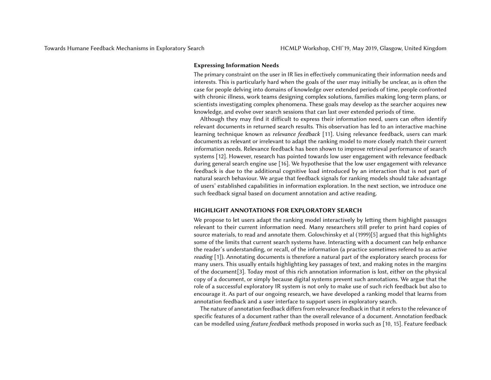#### Expressing Information Needs

The primary constraint on the user in IR lies in effectively communicating their information needs and interests. This is particularly hard when the goals of the user may initially be unclear, as is often the case for people delving into domains of knowledge over extended periods of time, people confronted with chronic illness, work teams designing complex solutions, families making long-term plans, or scientists investigating complex phenomena. These goals may develop as the searcher acquires new knowledge, and evolve over search sessions that can last over extended periods of time.

Although they may find it difficult to express their information need, users can often identify relevant documents in returned search results. This observation has led to an interactive machine learning technique known as relevance feedback [\[11\]](#page-6-6). Using relevance feedback, users can mark documents as relevant or irrelevant to adapt the ranking model to more closely match their current information needs. Relevance feedback has been shown to improve retrieval performance of search systems [\[12\]](#page-6-7). However, research has pointed towards low user engagement with relevance feedback during general search engine use [\[16\]](#page-6-8). We hypothesise that the low user engagement with relevance feedback is due to the additional cognitive load introduced by an interaction that is not part of natural search behaviour. We argue that feedback signals for ranking models should take advantage of users' established capabilities in information exploration. In the next section, we introduce one such feedback signal based on document annotation and active reading.

#### HIGHLIGHT ANNOTATIONS FOR EXPLORATORY SEARCH

We propose to let users adapt the ranking model interactively by letting them highlight passages relevant to their current information need. Many researchers still prefer to print hard copies of source materials, to read and annotate them. Golovchinsky et al (1999)[\[5\]](#page-6-9) argued that this highlights some of the limits that current search systems have. Interacting with a document can help enhance the reader's understanding, or recall, of the information (a practice sometimes refered to as active reading [\[1\]](#page-6-10)). Annotating documents is therefore a natural part of the exploratory search process for many users. This usually entails highlighting key passages of text, and making notes in the margins of the document[\[3\]](#page-6-11). Today most of this rich annotation information is lost, either on the physical copy of a document, or simply because digital systems prevent such annotations. We argue that the role of a successful exploratory IR system is not only to make use of such rich feedback but also to encourage it. As part of our ongoing research, we have developed a ranking model that learns from annotation feedback and a user interface to support users in exploratory search.

The nature of annotation feedback differs from relevance feedback in that it refers to the relevance of specific features of a document rather than the overall relevance of a document. Annotation feedback can be modelled using feature feedback methods proposed in works such as [\[10,](#page-6-12) [15\]](#page-6-13). Feature feedback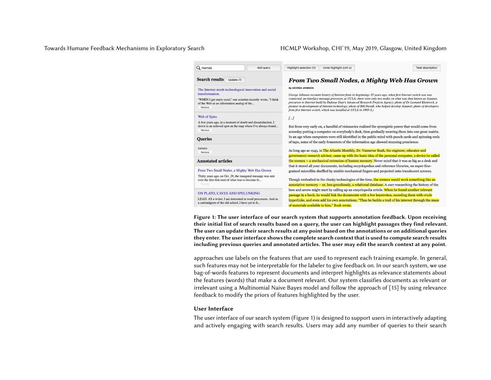#### Towards Humane Feedback Mechanisms in Exploratory Search HCMLP Workshop, CHI'19, May 2019, Glasgow, United Kingdom

<span id="page-4-0"></span>

| Q memex<br>Add query                                                                                                                                                                                  | Highlight selection (h)<br>Undo highlight (ctrl-z)<br>Task description                                                                                                                                                                                                                                                                                                                                                                                                                                                                                                        |
|-------------------------------------------------------------------------------------------------------------------------------------------------------------------------------------------------------|-------------------------------------------------------------------------------------------------------------------------------------------------------------------------------------------------------------------------------------------------------------------------------------------------------------------------------------------------------------------------------------------------------------------------------------------------------------------------------------------------------------------------------------------------------------------------------|
| <b>Search results</b><br>Update (1)                                                                                                                                                                   | From Two Small Nodes, a Mighty Web Has Grown                                                                                                                                                                                                                                                                                                                                                                                                                                                                                                                                  |
| The Internet needs technological innovation and social<br>transformation.<br>"WHEN I get starry-eyed," one scientist recently wrote, "I think<br>of the Web as an information analog of the<br>Remove | By GEORGE JOHNSON<br>George Johnson recounts history of Internet from its beginnings 30 years ago, when first Internet switch was was<br>connected, an interface message processor, at UCLA; there were only two nodes on what was then known as Arpanet,<br>precursor to Internet build by Defense Dept's Advanced Research Projects Agency; photo of Dr Leonard Kleinrock, a<br>pioneer in development of Internet technology; photo of Bill Duvall, who helped develop Arpanet; photo of developers<br>from first Internet switch, which was installed at UCLA in 1969 (L) |
| Web of Spies<br>A few years ago, in a moment of doubt and dissatisfaction, I<br>drove to an unloved spot on the map where I've always found<br>Remove<br><b>Oueries</b>                               | J<br>But from very early on, a handful of visionaries realized the synergistic power that would come from<br>someday putting a computer on everybody's desk, then gradually weaving them into one great matrix.<br>In an age when computers were still identified in the public mind with punch cards and spinning reels                                                                                                                                                                                                                                                      |
| memex<br>Remove<br><b>Annotated articles</b>                                                                                                                                                          | of tape, some of the early fomenters of the information age showed stunning prescience.<br>As long ago as 1945, in The Atlantic Monthly, Dr. Vannevar Bush, the engineer, educator and<br>government research adviser, came up with the basic idea of the personal computer, a device he called<br>the memex -- a mechanical extension of human memory. Never mind that it was as big as a desk and                                                                                                                                                                           |
| From Two Small Nodes, a Mighty Web Has Grown<br>Thirty years ago, on Oct. 29, the inaugural message was sent                                                                                          | that it stored all your documents, including encyclopedias and reference libraries, on super-fine-<br>grained microfilm shuffled by nimble mechanical fingers and projected onto translucent screens.                                                                                                                                                                                                                                                                                                                                                                         |
| over the first thin reed of what was to become th<br>Remove                                                                                                                                           | Though embodied in the clunky technologies of the time, the memex would work something like an<br>associative memory -- or, less grandiosely, a relational database. A user researching the history of the<br>bow and arrow might start by calling up an encyclopedia article. When he found another relevant                                                                                                                                                                                                                                                                 |
| ON PLATO, CAVES AND SPELUNKING<br>LEAD: AS a writer, I am interested in word processors. And as<br>a curmudgeon of the old school, I have yet to fi                                                   | passage in a book, he would link the documents with a few keystrokes, encoding them with crude<br>hyperlinks, and even add his own annotations. "Thus he builds a trail of his interest through the maze<br>and the contract of the contract of the contract of the contract of the contract of the contract of the contract of the contract of the contract of the contract of the contract of the contract of the contract of the contra                                                                                                                                    |

Figure 1: The user interface of our search system that supports annotation feedback. Upon receiving their initial list of search results based on a query, the user can highlight passages they find relevant. The user can update their search results at any point based on the annotations or on additional queries they enter. The user interface shows the complete search context that is used to compute search results including previous queries and annotated articles. The user may edit the search context at any point.

approaches use labels on the features that are used to represent each training example. In general, such features may not be interpretable for the labeler to give feedback on. In our search system, we use bag-of-words features to represent documents and interpret highlights as relevance statements about the features (words) that make a document relevant. Our system classifies documents as relevant or irrelevant using a Multinomial Naive Bayes model and follow the approach of [\[15\]](#page-6-13) by using relevance feedback to modify the priors of features highlighted by the user.

#### User Interface

The user interface of our search system (Figure [1\)](#page-4-0) is designed to support users in interactively adapting and actively engaging with search results. Users may add any number of queries to their search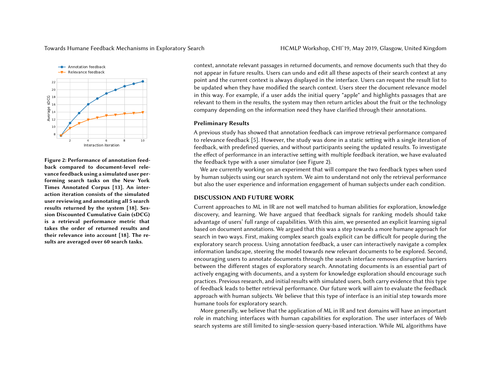

Figure 2: Performance of annotation feedback compared to document-level relevance feedback using a simulated user performing search tasks on the New York Times Annotated Corpus [\[13\]](#page-6-14). An interaction iteration consists of the simulated user reviewing and annotating all 5 search results returned by the system [\[18\]](#page-6-15). Session Discounted Cumulative Gain (sDCG) is a retrieval performance metric that takes the order of returned results and their relevance into account [\[18\]](#page-6-15). The results are averaged over 60 search tasks.

context, annotate relevant passages in returned documents, and remove documents such that they do not appear in future results. Users can undo and edit all these aspects of their search context at any point and the current context is always displayed in the interface. Users can request the result list to be updated when they have modified the search context. Users steer the document relevance model in this way. For example, if a user adds the initial query "apple" and highlights passages that are relevant to them in the results, the system may then return articles about the fruit or the technology company depending on the information need they have clarified through their annotations.

#### <span id="page-5-0"></span>Preliminary Results

A previous study has showed that annotation feedback can improve retrieval performance compared to relevance feedback [\[5\]](#page-6-9). However, the study was done in a static setting with a single iteration of feedback, with predefined queries, and without participants seeing the updated results. To investigate the effect of performance in an interactive setting with multiple feedback iteration, we have evaluated the feedback type with a user simulator (see Figure [2\)](#page-5-0).

We are currently working on an experiment that will compare the two feedback types when used by human subjects using our search system. We aim to understand not only the retrieval performance but also the user experience and information engagement of human subjects under each condition.

#### DISCUSSION AND FUTURE WORK

Current approaches to ML in IR are not well matched to human abilities for exploration, knowledge discovery, and learning. We have argued that feedback signals for ranking models should take advantage of users' full range of capabilities. With this aim, we presented an explicit learning signal based on document annotations. We argued that this was a step towards a more humane approach for search in two ways. First, making complex search goals explicit can be difficult for people during the exploratory search process. Using annotation feedback, a user can interactively navigate a complex information landscape, steering the model towards new relevant documents to be explored. Second, encouraging users to annotate documents through the search interface removes disruptive barriers between the different stages of exploratory search. Annotating documents is an essential part of actively engaging with documents, and a system for knowledge exploration should encourage such practices. Previous research, and initial results with simulated users, both carry evidence that this type of feedback leads to better retrieval performance. Our future work will aim to evaluate the feedback approach with human subjects. We believe that this type of interface is an initial step towards more humane tools for exploratory search.

More generally, we believe that the application of ML in IR and text domains will have an important role in matching interfaces with human capabilities for exploration. The user interfaces of Web search systems are still limited to single-session query-based interaction. While ML algorithms have